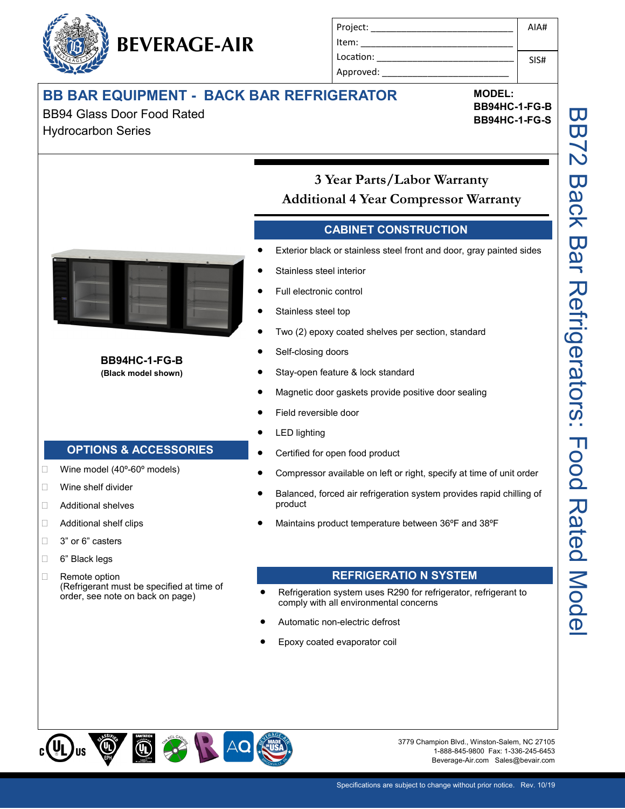# **BB BAR EQUIPMENT - BACK BAR REFRIGERATOR**

BEVERAGE-AIR

BB94 Glass Door Food Rated Hydrocarbon Series

| Project:  | AIAH |
|-----------|------|
| Item:     |      |
| Location: | SIS# |
| Approved: |      |

**MODEL: BB94HC-1-FG-B BB94HC-1-FG-S**

**BB94HC-1-FG-B (Black model shown)**

## **OPTIONS & ACCESSORIES**

- $\Box$  Wine model (40 $^{\circ}$ -60 $^{\circ}$  models)
- Wine shelf divider
- □ Additional shelves
- □ Additional shelf clips
- □ 3" or 6" casters
- □ 6" Black legs
- Remote option (Refrigerant must be specified at time of order, see note on back on page)

# **3 Year Parts/Labor Warranty Additional 4 Year Compressor Warranty**

### **CABINET CONSTRUCTION**

- Exterior black or stainless steel front and door, gray painted sides
- Stainless steel interior
- Full electronic control
- Stainless steel top
- Two (2) epoxy coated shelves per section, standard
- Self-closing doors
- Stay-open feature & lock standard

- Magnetic door gaskets provide positive door sealing
- Field reversible door
- LED lighting
- Certified for open food product
- Compressor available on left or right, specify at time of unit order
- Balanced, forced air refrigeration system provides rapid chilling of product
- Maintains product temperature between 36ºF and 38ºF

## **REFRIGERATIO N SYSTEM**

- Refrigeration system uses R290 for refrigerator, refrigerant to comply with all environmental concerns
- Automatic non-electric defrost
- Epoxy coated evaporator coil



3779 Champion Blvd., Winston-Salem, NC 27105 1-888-845-9800 Fax: 1-336-245-6453 Beverage-Air.com Sales@bevair.com